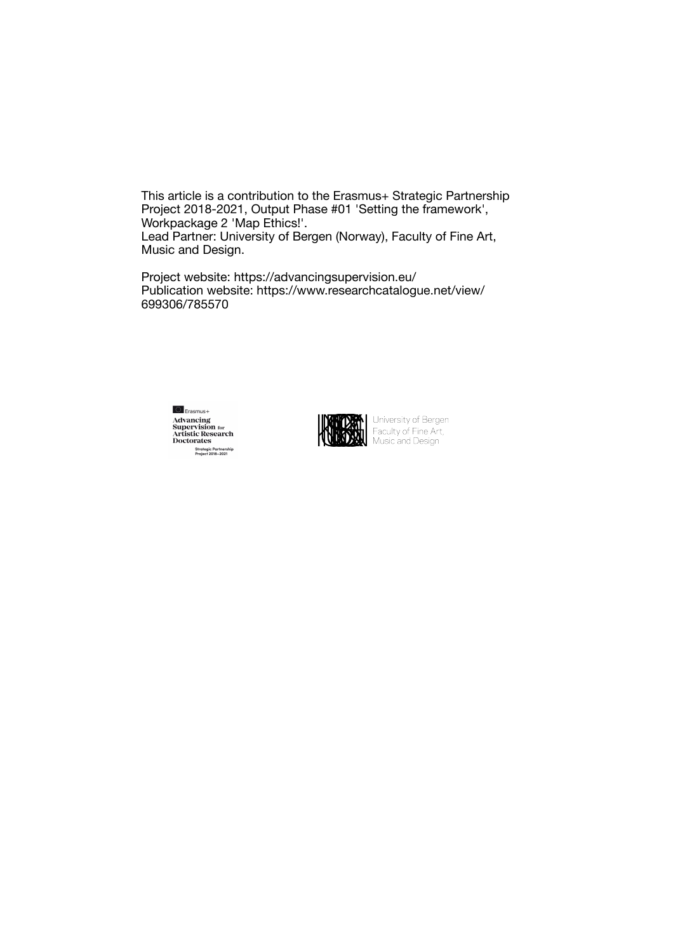This article is a contribution to the Erasmus+ Strategic Partnership Project 2018-2021, Output Phase #01 'Setting the framework', Workpackage 2 'Map Ethics!'. Lead Partner: University of Bergen (Norway), Faculty of Fine Art, Music and Design.

Project website: https://advancingsupervision.eu/ Publication website: https://www.researchcatalogue.net/view/ 699306/785570





**DEAL** University of Bergen<br>Faculty of Fine Art,<br>Music and Design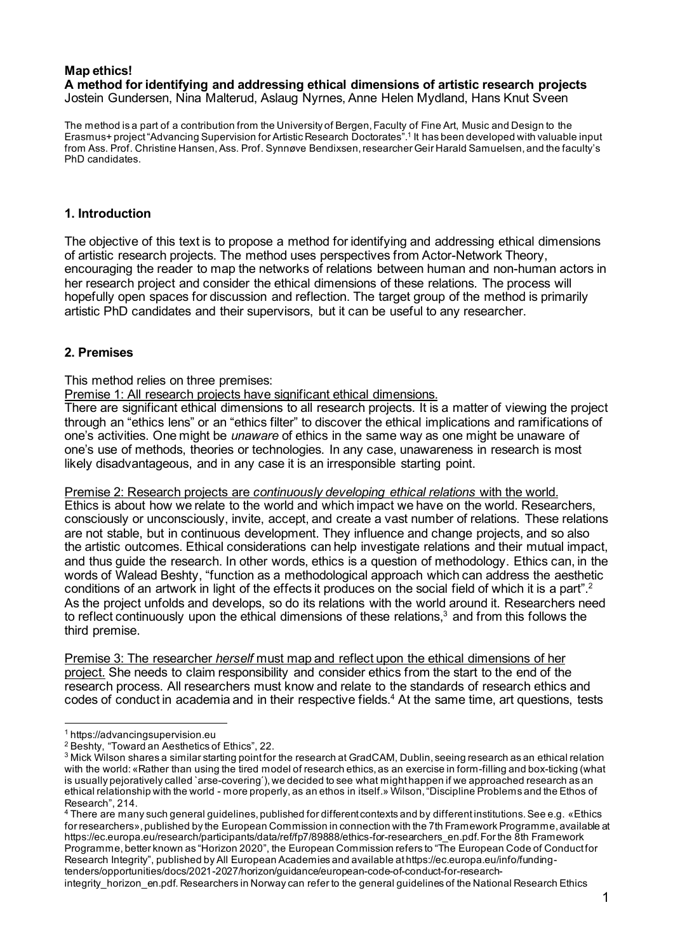#### **Map ethics! A method for identifying and addressing ethical dimensions of artistic research projects** Jostein Gundersen, Nina Malterud, Aslaug Nyrnes, Anne Helen Mydland, Hans Knut Sveen

The method is a part of a contribution from the University of Bergen, Faculty of Fine Art, Music and Design to the Erasmus+ project"Advancing Supervision for Artistic Research Doctorates". <sup>1</sup> It has been developed with valuable input from Ass. Prof. Christine Hansen, Ass. Prof. Synnøve Bendixsen, researcher Geir Harald Samuelsen, and the faculty's PhD candidates.

# **1. Introduction**

The objective of this text is to propose a method for identifying and addressing ethical dimensions of artistic research projects. The method uses perspectives from Actor-Network Theory, encouraging the reader to map the networks of relations between human and non-human actors in her research project and consider the ethical dimensions of these relations. The process will hopefully open spaces for discussion and reflection. The target group of the method is primarily artistic PhD candidates and their supervisors, but it can be useful to any researcher.

# **2. Premises**

This method relies on three premises:

Premise 1: All research projects have significant ethical dimensions.

There are significant ethical dimensions to all research projects. It is a matter of viewing the project through an "ethics lens" or an "ethics filter" to discover the ethical implications and ramifications of one's activities. One might be *unaware* of ethics in the same way as one might be unaware of one's use of methods, theories or technologies. In any case, unawareness in research is most likely disadvantageous, and in any case it is an irresponsible starting point.

Premise 2: Research projects are *continuously developing ethical relations* with the world. Ethics is about how we relate to the world and which impact we have on the world. Researchers, consciously or unconsciously, invite, accept, and create a vast number of relations. These relations are not stable, but in continuous development. They influence and change projects, and so also the artistic outcomes. Ethical considerations can help investigate relations and their mutual impact, and thus guide the research. In other words, ethics is a question of methodology. Ethics can, in the words of Walead Beshty, "function as a methodological approach which can address the aesthetic conditions of an artwork in light of the effects it produces on the social field of which it is a part".<sup>2</sup> As the project unfolds and develops, so do its relations with the world around it. Researchers need to reflect continuously upon the ethical dimensions of these relations,<sup>3</sup> and from this follows the third premise.

Premise 3: The researcher *herself* must map and reflect upon the ethical dimensions of her project. She needs to claim responsibility and consider ethics from the start to the end of the research process. All researchers must know and relate to the standards of research ethics and codes of conduct in academia and in their respective fields.<sup>4</sup> At the same time, art questions, tests

<sup>4</sup> There are many such general guidelines, published for different contexts and by differentinstitutions.See e.g. «Ethics for researchers», published by the European Commission in connection with the 7th Framework Programme, available at https://ec.europa.eu/research/participants/data/ref/fp7/89888/ethics-for-researchers\_en.pdf.For the 8th Framework Programme, better known as "Horizon 2020", the European Commission refers to "The European Code of Conductfor Research Integrity", published by All European Academies and available athttps://ec.europa.eu/info/fundingtenders/opportunities/docs/2021-2027/horizon/guidance/european-code-of-conduct-for-research-

integrity\_horizon\_en.pdf. Researchers in Norway can refer to the general guidelines of the National Research Ethics

<sup>1</sup> https://advancingsupervision.eu

<sup>2</sup> Beshty, "Toward an Aesthetics of Ethics", 22.

<sup>&</sup>lt;sup>3</sup> Mick Wilson shares a similar starting point for the research at GradCAM, Dublin, seeing research as an ethical relation with the world: «Rather than using the tired model of research ethics, as an exercise in form-filling and box-ticking (what is usually pejoratively called `arse-covering´), we decided to see what might happen if we approached research as an ethical relationship with the world - more properly, as an ethos in itself.» Wilson,"Discipline Problems and the Ethos of Research", 214.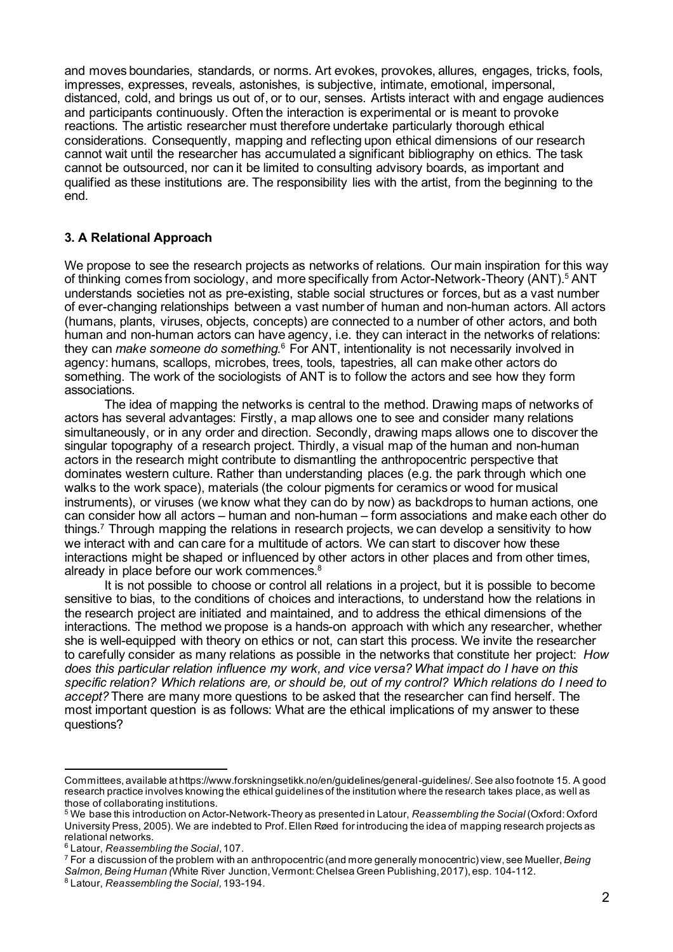and moves boundaries, standards, or norms. Art evokes, provokes, allures, engages, tricks, fools, impresses, expresses, reveals, astonishes, is subjective, intimate, emotional, impersonal, distanced, cold, and brings us out of, or to our, senses. Artists interact with and engage audiences and participants continuously. Often the interaction is experimental or is meant to provoke reactions. The artistic researcher must therefore undertake particularly thorough ethical considerations. Consequently, mapping and reflecting upon ethical dimensions of our research cannot wait until the researcher has accumulated a significant bibliography on ethics. The task cannot be outsourced, nor can it be limited to consulting advisory boards, as important and qualified as these institutions are. The responsibility lies with the artist, from the beginning to the end.

# **3. A Relational Approach**

We propose to see the research projects as networks of relations. Our main inspiration for this way of thinking comes from sociology, and more specifically from Actor-Network-Theory (ANT).<sup>5</sup> ANT understands societies not as pre-existing, stable social structures or forces, but as a vast number of ever-changing relationships between a vast number of human and non-human actors. All actors (humans, plants, viruses, objects, concepts) are connected to a number of other actors, and both human and non-human actors can have agency, i.e. they can interact in the networks of relations: they can *make someone do something.*<sup>6</sup> For ANT, intentionality is not necessarily involved in agency: humans, scallops, microbes, trees, tools, tapestries, all can make other actors do something. The work of the sociologists of ANT is to follow the actors and see how they form associations.

The idea of mapping the networks is central to the method. Drawing maps of networks of actors has several advantages: Firstly, a map allows one to see and consider many relations simultaneously, or in any order and direction. Secondly, drawing maps allows one to discover the singular topography of a research project. Thirdly, a visual map of the human and non-human actors in the research might contribute to dismantling the anthropocentric perspective that dominates western culture. Rather than understanding places (e.g. the park through which one walks to the work space), materials (the colour pigments for ceramics or wood for musical instruments), or viruses (we know what they can do by now) as backdrops to human actions, one can consider how all actors – human and non-human – form associations and make each other do things.7 Through mapping the relations in research projects, we can develop a sensitivity to how we interact with and can care for a multitude of actors. We can start to discover how these interactions might be shaped or influenced by other actors in other places and from other times, already in place before our work commences.8

It is not possible to choose or control all relations in a project, but it is possible to become sensitive to bias, to the conditions of choices and interactions, to understand how the relations in the research project are initiated and maintained, and to address the ethical dimensions of the interactions. The method we propose is a hands-on approach with which any researcher, whether she is well-equipped with theory on ethics or not, can start this process. We invite the researcher to carefully consider as many relations as possible in the networks that constitute her project: *How does this particular relation influence my work, and vice versa? What impact do I have on this* specific relation? Which relations are, or should be, out of my control? Which relations do I need to *accept?* There are many more questions to be asked that the researcher can find herself. The most important question is as follows: What are the ethical implications of my answer to these questions?

Committees, available athttps://www.forskningsetikk.no/en/guidelines/general-guidelines/.See also footnote 15. A good research practice involves knowing the ethical guidelines of the institution where the research takes place, as well as those of collaborating institutions.

<sup>5</sup> We base this introduction on Actor-Network-Theory as presented in Latour, *Reassembling the Social* (Oxford:Oxford University Press, 2005). We are indebted to Prof.Ellen Røed forintroducing the idea of mapping research projects as relational networks.

<sup>6</sup> Latour, *Reassembling the Social*,107.

<sup>7</sup> For a discussion of the problem with an anthropocentric (and more generally monocentric) view, see Mueller,*Being* Salmon, Being Human *(White River Junction, Vermont: Chelsea Green Publishing, 2017), esp. 104-112.* 

<sup>8</sup> Latour, *Reassembling the Social,*193-194.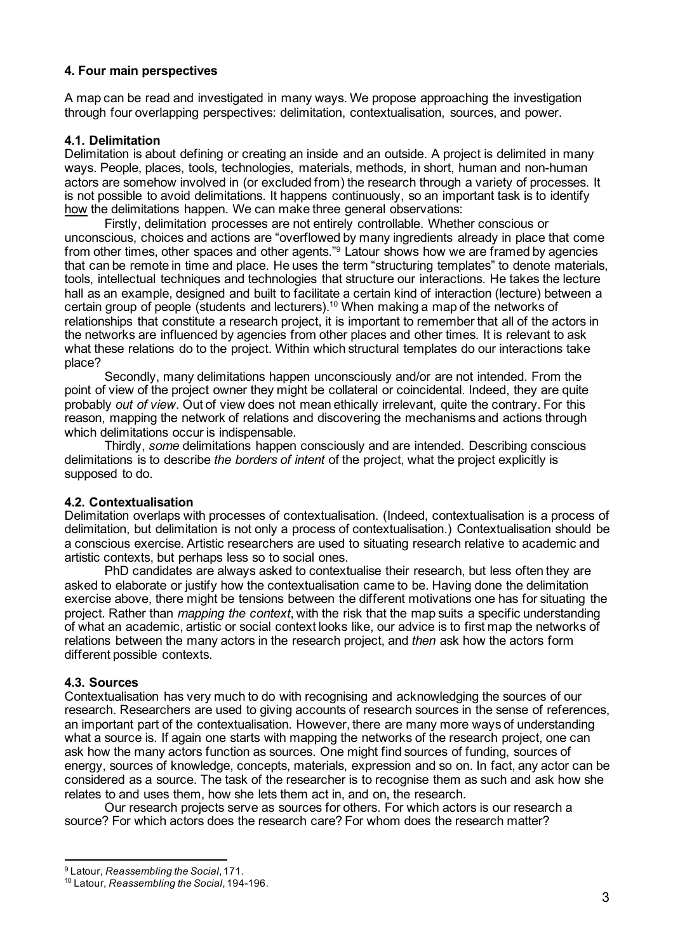# **4. Four main perspectives**

A map can be read and investigated in many ways. We propose approaching the investigation through four overlapping perspectives: delimitation, contextualisation, sources, and power.

# **4.1. Delimitation**

Delimitation is about defining or creating an inside and an outside. A project is delimited in many ways. People, places, tools, technologies, materials, methods, in short, human and non-human actors are somehow involved in (or excluded from) the research through a variety of processes. It is not possible to avoid delimitations. It happens continuously, so an important task is to identify how the delimitations happen. We can make three general observations:

Firstly, delimitation processes are not entirely controllable. Whether conscious or unconscious, choices and actions are "overflowed by many ingredients already in place that come from other times, other spaces and other agents."<sup>9</sup> Latour shows how we are framed by agencies that can be remote in time and place. He uses the term "structuring templates" to denote materials, tools, intellectual techniques and technologies that structure our interactions. He takes the lecture hall as an example, designed and built to facilitate a certain kind of interaction (lecture) between a certain group of people (students and lecturers).<sup>10</sup> When making a map of the networks of relationships that constitute a research project, it is important to remember that all of the actors in the networks are influenced by agencies from other places and other times. It is relevant to ask what these relations do to the project. Within which structural templates do our interactions take place?

Secondly, many delimitations happen unconsciously and/or are not intended. From the point of view of the project owner they might be collateral or coincidental. Indeed, they are quite probably *out of view*. Out of view does not mean ethically irrelevant, quite the contrary. For this reason, mapping the network of relations and discovering the mechanisms and actions through which delimitations occur is indispensable.

Thirdly, *some* delimitations happen consciously and are intended. Describing conscious delimitations is to describe *the borders of intent* of the project, what the project explicitly is supposed to do.

### **4.2. Contextualisation**

Delimitation overlaps with processes of contextualisation. (Indeed, contextualisation is a process of delimitation, but delimitation is not only a process of contextualisation.) Contextualisation should be a conscious exercise. Artistic researchers are used to situating research relative to academic and artistic contexts, but perhaps less so to social ones.

PhD candidates are always asked to contextualise their research, but less often they are asked to elaborate or justify how the contextualisation came to be. Having done the delimitation exercise above, there might be tensions between the different motivations one has for situating the project. Rather than *mapping the context*, with the risk that the map suits a specific understanding of what an academic, artistic or social context looks like, our advice is to first map the networks of relations between the many actors in the research project, and *then* ask how the actors form different possible contexts.

### **4.3. Sources**

Contextualisation has very much to do with recognising and acknowledging the sources of our research. Researchers are used to giving accounts of research sources in the sense of references, an important part of the contextualisation. However, there are many more ways of understanding what a source is. If again one starts with mapping the networks of the research project, one can ask how the many actors function as sources. One might find sources of funding, sources of energy, sources of knowledge, concepts, materials, expression and so on. In fact, any actor can be considered as a source. The task of the researcher is to recognise them as such and ask how she relates to and uses them, how she lets them act in, and on, the research.

Our research projects serve as sources for others. For which actors is our research a source? For which actors does the research care? For whom does the research matter?

<sup>9</sup> Latour, *Reassembling the Social*,171.

<sup>10</sup> Latour, *Reassembling the Social*,194-196.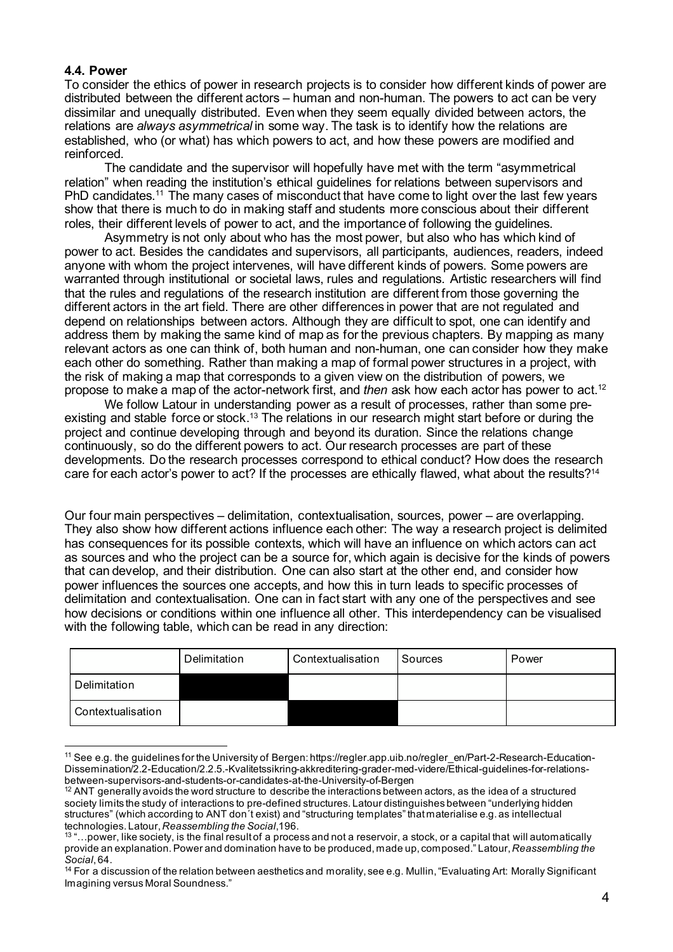#### **4.4. Power**

To consider the ethics of power in research projects is to consider how different kinds of power are distributed between the different actors – human and non-human. The powers to act can be very dissimilar and unequally distributed. Even when they seem equally divided between actors, the relations are *always asymmetrical* in some way. The task is to identify how the relations are established, who (or what) has which powers to act, and how these powers are modified and reinforced.

The candidate and the supervisor will hopefully have met with the term "asymmetrical relation" when reading the institution's ethical guidelines for relations between supervisors and PhD candidates.<sup>11</sup> The many cases of misconduct that have come to light over the last few years show that there is much to do in making staff and students more conscious about their different roles, their different levels of power to act, and the importance of following the guidelines.

Asymmetry is not only about who has the most power, but also who has which kind of power to act. Besides the candidates and supervisors, all participants, audiences, readers, indeed anyone with whom the project intervenes, will have different kinds of powers. Some powers are warranted through institutional or societal laws, rules and regulations. Artistic researchers will find that the rules and regulations of the research institution are different from those governing the different actors in the art field. There are other differences in power that are not regulated and depend on relationships between actors. Although they are difficult to spot, one can identify and address them by making the same kind of map as for the previous chapters. By mapping as many relevant actors as one can think of, both human and non-human, one can consider how they make each other do something. Rather than making a map of formal power structures in a project, with the risk of making a map that corresponds to a given view on the distribution of powers, we propose to make a map of the actor-network first, and *then* ask how each actor has power to act.12

We follow Latour in understanding power as a result of processes, rather than some preexisting and stable force or stock.<sup>13</sup> The relations in our research might start before or during the project and continue developing through and beyond its duration. Since the relations change continuously, so do the different powers to act. Our research processes are part of these developments. Do the research processes correspond to ethical conduct? How does the research care for each actor's power to act? If the processes are ethically flawed, what about the results?14

Our four main perspectives – delimitation, contextualisation, sources, power – are overlapping. They also show how different actions influence each other: The way a research project is delimited has consequences for its possible contexts, which will have an influence on which actors can act as sources and who the project can be a source for, which again is decisive for the kinds of powers that can develop, and their distribution. One can also start at the other end, and consider how power influences the sources one accepts, and how this in turn leads to specific processes of delimitation and contextualisation. One can in fact start with any one of the perspectives and see how decisions or conditions within one influence all other. This interdependency can be visualised with the following table, which can be read in any direction:

|                   | Delimitation | Contextualisation | Sources | Power |
|-------------------|--------------|-------------------|---------|-------|
| Delimitation      |              |                   |         |       |
| Contextualisation |              |                   |         |       |

<sup>11</sup> See e.g. the guidelines for the University of Bergen: https://regler.app.uib.no/regler\_en/Part-2-Research-Education-Dissemination/2.2-Education/2.2.5.-Kvalitetssikring-akkreditering-grader-med-videre/Ethical-guidelines-for-relationsbetween-supervisors-and-students-or-candidates-at-the-University-of-Bergen

<sup>&</sup>lt;sup>12</sup> ANT generally avoids the word structure to describe the interactions between actors, as the idea of a structured society limits the study of interactions to pre-defined structures. Latour distinguishes between "underlying hidden structures" (which according to ANT don´t exist) and "structuring templates" thatmaterialise e.g. as intellectual technologies. Latour,*Reassembling the Social*,196.

 $13$  "... power, like society, is the final result of a process and not a reservoir, a stock, or a capital that will automatically provide an explanation.Power and domination have to be produced, made up, composed." Latour,*Reassembling the Social*,64.

<sup>&</sup>lt;sup>14</sup> For a discussion of the relation between aesthetics and morality, see e.g. Mullin, "Evaluating Art: Morally Significant Imagining versus Moral Soundness."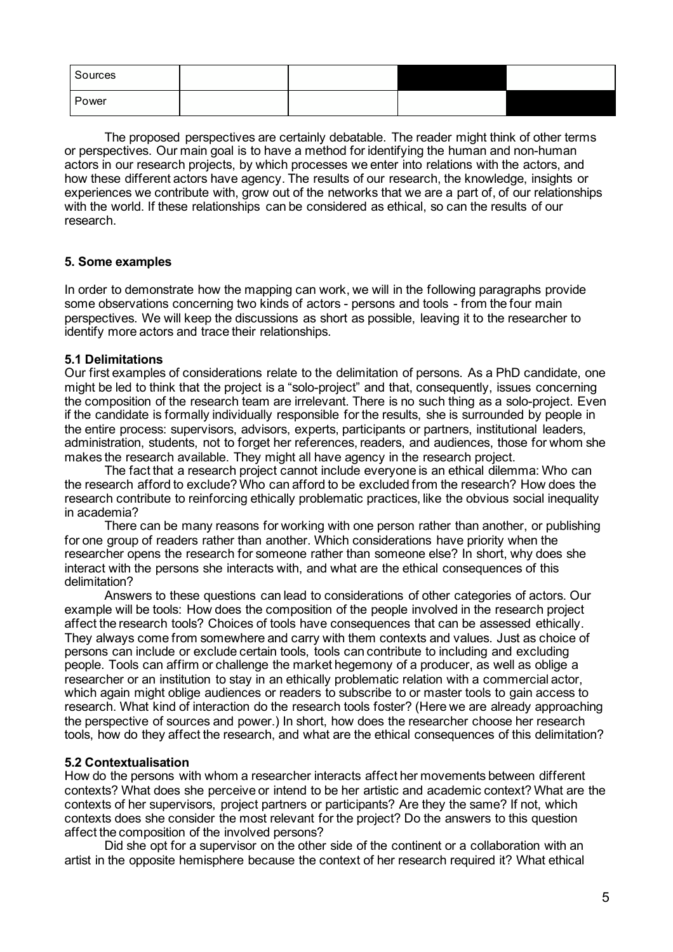| Sources |  |  |
|---------|--|--|
| Power   |  |  |

The proposed perspectives are certainly debatable. The reader might think of other terms or perspectives. Our main goal is to have a method for identifying the human and non-human actors in our research projects, by which processes we enter into relations with the actors, and how these different actors have agency. The results of our research, the knowledge, insights or experiences we contribute with, grow out of the networks that we are a part of, of our relationships with the world. If these relationships can be considered as ethical, so can the results of our research.

### **5. Some examples**

In order to demonstrate how the mapping can work, we will in the following paragraphs provide some observations concerning two kinds of actors - persons and tools - from the four main perspectives. We will keep the discussions as short as possible, leaving it to the researcher to identify more actors and trace their relationships.

### **5.1 Delimitations**

Our first examples of considerations relate to the delimitation of persons. As a PhD candidate, one might be led to think that the project is a "solo-project" and that, consequently, issues concerning the composition of the research team are irrelevant. There is no such thing as a solo-project. Even if the candidate is formally individually responsible for the results, she is surrounded by people in the entire process: supervisors, advisors, experts, participants or partners, institutional leaders, administration, students, not to forget her references, readers, and audiences, those for whom she makes the research available. They might all have agency in the research project.

The fact that a research project cannot include everyone is an ethical dilemma: Who can the research afford to exclude? Who can afford to be excluded from the research? How does the research contribute to reinforcing ethically problematic practices, like the obvious social inequality in academia?

There can be many reasons for working with one person rather than another, or publishing for one group of readers rather than another. Which considerations have priority when the researcher opens the research for someone rather than someone else? In short, why does she interact with the persons she interacts with, and what are the ethical consequences of this delimitation?

Answers to these questions can lead to considerations of other categories of actors. Our example will be tools: How does the composition of the people involved in the research project affect the research tools? Choices of tools have consequences that can be assessed ethically. They always come from somewhere and carry with them contexts and values. Just as choice of persons can include or exclude certain tools, tools can contribute to including and excluding people. Tools can affirm or challenge the market hegemony of a producer, as well as oblige a researcher or an institution to stay in an ethically problematic relation with a commercial actor, which again might oblige audiences or readers to subscribe to or master tools to gain access to research. What kind of interaction do the research tools foster? (Here we are already approaching the perspective of sources and power.) In short, how does the researcher choose her research tools, how do they affect the research, and what are the ethical consequences of this delimitation?

# **5.2 Contextualisation**

How do the persons with whom a researcher interacts affect her movements between different contexts? What does she perceive or intend to be her artistic and academic context? What are the contexts of her supervisors, project partners or participants? Are they the same? If not, which contexts does she consider the most relevant for the project? Do the answers to this question affect the composition of the involved persons?

Did she opt for a supervisor on the other side of the continent or a collaboration with an artist in the opposite hemisphere because the context of her research required it? What ethical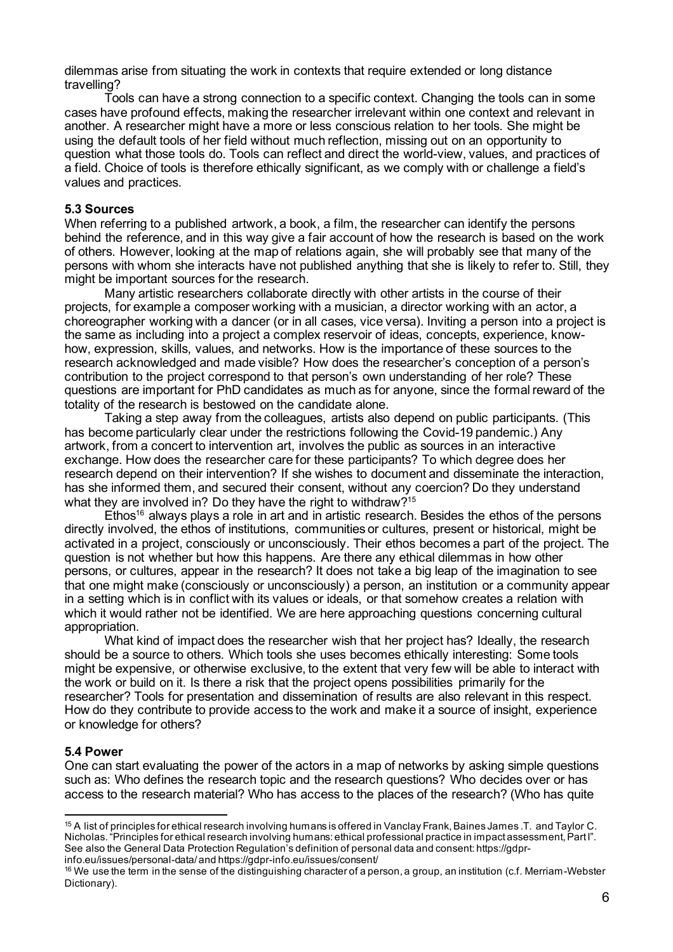dilemmas arise from situating the work in contexts that require extended or long distance travelling?

Tools can have a strong connection to a specific context. Changing the tools can in some cases have profound effects, making the researcher irrelevant within one context and relevant in another. A researcher might have a more or less conscious relation to her tools. She might be using the default tools of her field without much reflection, missing out on an opportunity to question what those tools do. Tools can reflect and direct the world-view, values, and practices of a field. Choice of tools is therefore ethically significant, as we comply with or challenge a field's values and practices.

#### **5.3 Sources**

When referring to a published artwork, a book, a film, the researcher can identify the persons behind the reference, and in this way give a fair account of how the research is based on the work of others. However, looking at the map of relations again, she will probably see that many of the persons with whom she interacts have not published anything that she is likely to refer to. Still, they might be important sources for the research.

Many artistic researchers collaborate directly with other artists in the course of their projects, for example a composer working with a musician, a director working with an actor, a choreographer working with a dancer (or in all cases, vice versa). Inviting a person into a project is the same as including into a project a complex reservoir of ideas, concepts, experience, knowhow, expression, skills, values, and networks. How is the importance of these sources to the research acknowledged and made visible? How does the researcher's conception of a person's contribution to the project correspond to that person's own understanding of her role? These questions are important for PhD candidates as much as for anyone, since the formal reward of the totality of the research is bestowed on the candidate alone.

Taking a step away from the colleagues, artists also depend on public participants. (This has become particularly clear under the restrictions following the Covid-19 pandemic.) Any artwork, from a concert to intervention art, involves the public as sources in an interactive exchange. How does the researcher care for these participants? To which degree does her research depend on their intervention? If she wishes to document and disseminate the interaction, has she informed them, and secured their consent, without any coercion? Do they understand what they are involved in? Do they have the right to withdraw?<sup>15</sup>

 $E$ thos<sup>16</sup> always plays a role in art and in artistic research. Besides the ethos of the persons directly involved, the ethos of institutions, communities or cultures, present or historical, might be activated in a project, consciously or unconsciously. Their ethos becomes a part of the project. The question is not whether but how this happens. Are there any ethical dilemmas in how other persons, or cultures, appear in the research? It does not take a big leap of the imagination to see that one might make (consciously or unconsciously) a person, an institution or a community appear in a setting which is in conflict with its values or ideals, or that somehow creates a relation with which it would rather not be identified. We are here approaching questions concerning cultural appropriation.

What kind of impact does the researcher wish that her project has? Ideally, the research should be a source to others. Which tools she uses becomes ethically interesting: Some tools might be expensive, or otherwise exclusive, to the extent that very few will be able to interact with the work or build on it. Is there a risk that the project opens possibilities primarily for the researcher? Tools for presentation and dissemination of results are also relevant in this respect. How do they contribute to provide access to the work and make it a source of insight, experience or knowledge for others?

### **5.4 Power**

One can start evaluating the power of the actors in a map of networks by asking simple questions such as: Who defines the research topic and the research questions? Who decides over or has access to the research material? Who has access to the places of the research? (Who has quite

<sup>&</sup>lt;sup>15</sup> A list of principles for ethical research involving humans is offered in Vanclay Frank, Baines James .T. and Taylor C. Nicholas. "Principles for ethical research involving humans: ethical professional practice in impact assessment, Part I". See also the General Data Protection Regulation's definition of personal data and consent: https://gdpr-

info.eu/issues/personal-data/ and https://gdpr-info.eu/issues/consent/

<sup>&</sup>lt;sup>16</sup> We use the term in the sense of the distinguishing character of a person, a group, an institution (c.f. Merriam-Webster Dictionary).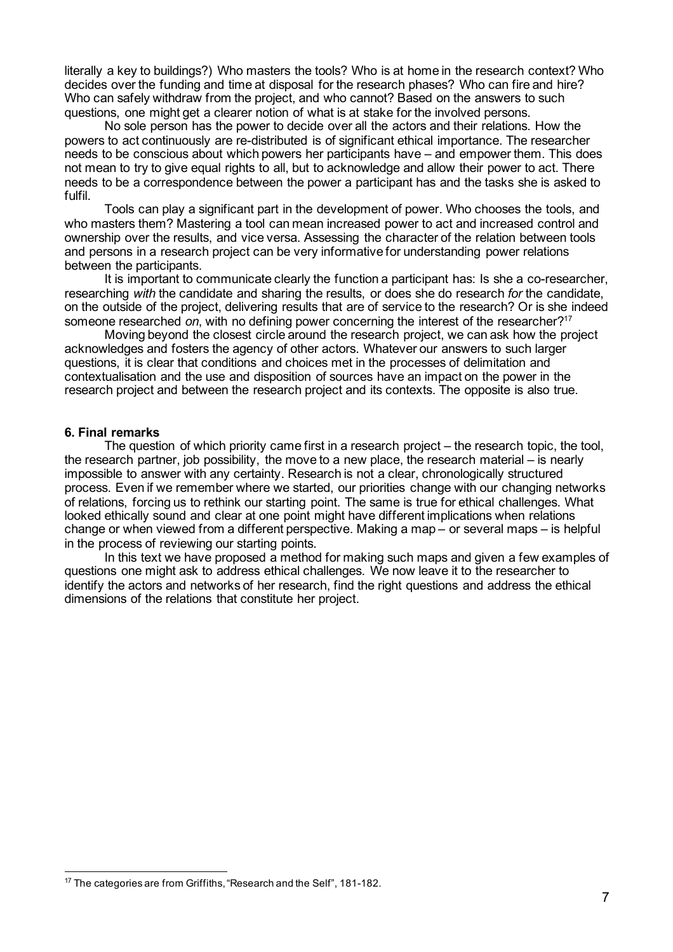literally a key to buildings?) Who masters the tools? Who is at home in the research context? Who decides over the funding and time at disposal for the research phases? Who can fire and hire? Who can safely withdraw from the project, and who cannot? Based on the answers to such questions, one might get a clearer notion of what is at stake for the involved persons.

No sole person has the power to decide over all the actors and their relations. How the powers to act continuously are re-distributed is of significant ethical importance. The researcher needs to be conscious about which powers her participants have – and empower them. This does not mean to try to give equal rights to all, but to acknowledge and allow their power to act. There needs to be a correspondence between the power a participant has and the tasks she is asked to fulfil.

Tools can play a significant part in the development of power. Who chooses the tools, and who masters them? Mastering a tool can mean increased power to act and increased control and ownership over the results, and vice versa. Assessing the character of the relation between tools and persons in a research project can be very informative for understanding power relations between the participants.

It is important to communicate clearly the function a participant has: Is she a co-researcher, researching *with* the candidate and sharing the results, or does she do research *for* the candidate, on the outside of the project, delivering results that are of service to the research? Or is she indeed someone researched *on*, with no defining power concerning the interest of the researcher?<sup>17</sup>

Moving beyond the closest circle around the research project, we can ask how the project acknowledges and fosters the agency of other actors. Whatever our answers to such larger questions, it is clear that conditions and choices met in the processes of delimitation and contextualisation and the use and disposition of sources have an impact on the power in the research project and between the research project and its contexts. The opposite is also true.

#### **6. Final remarks**

The question of which priority came first in a research project – the research topic, the tool, the research partner, job possibility, the move to a new place, the research material – is nearly impossible to answer with any certainty. Research is not a clear, chronologically structured process. Even if we remember where we started, our priorities change with our changing networks of relations, forcing us to rethink our starting point. The same is true for ethical challenges. What looked ethically sound and clear at one point might have different implications when relations change or when viewed from a different perspective. Making a map – or several maps – is helpful in the process of reviewing our starting points.

In this text we have proposed a method for making such maps and given a few examples of questions one might ask to address ethical challenges. We now leave it to the researcher to identify the actors and networks of her research, find the right questions and address the ethical dimensions of the relations that constitute her project.

<sup>&</sup>lt;sup>17</sup> The categories are from Griffiths, "Research and the Self", 181-182.